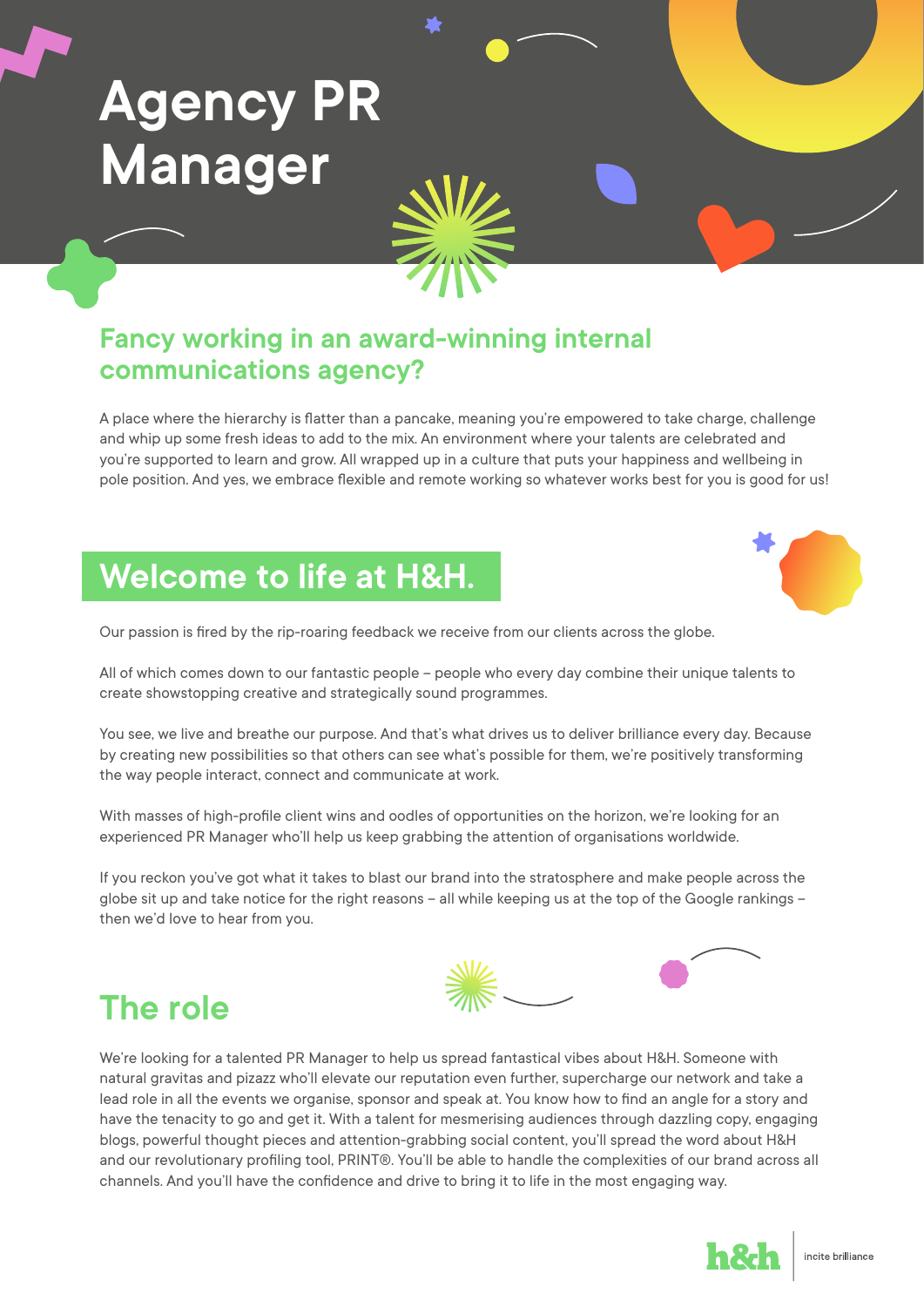# **Agency PR Manager**

#### **Fancy working in an award-winning internal communications agency?**

A place where the hierarchy is flatter than a pancake, meaning you're empowered to take charge, challenge and whip up some fresh ideas to add to the mix. An environment where your talents are celebrated and you're supported to learn and grow. All wrapped up in a culture that puts your happiness and wellbeing in pole position. And yes, we embrace flexible and remote working so whatever works best for you is good for us!

#### **Welcome to life at H&H.**

Our passion is fired by the rip-roaring feedback we receive from our clients across the globe.

All of which comes down to our fantastic people – people who every day combine their unique talents to create showstopping creative and strategically sound programmes.

You see, we live and breathe our purpose. And that's what drives us to deliver brilliance every day. Because by creating new possibilities so that others can see what's possible for them, we're positively transforming the way people interact, connect and communicate at work.

With masses of high-profile client wins and oodles of opportunities on the horizon, we're looking for an experienced PR Manager who'll help us keep grabbing the attention of organisations worldwide.

If you reckon you've got what it takes to blast our brand into the stratosphere and make people across the globe sit up and take notice for the right reasons – all while keeping us at the top of the Google rankings – then we'd love to hear from you.



#### **The role**

We're looking for a talented PR Manager to help us spread fantastical vibes about H&H. Someone with natural gravitas and pizazz who'll elevate our reputation even further, supercharge our network and take a lead role in all the events we organise, sponsor and speak at. You know how to find an angle for a story and have the tenacity to go and get it. With a talent for mesmerising audiences through dazzling copy, engaging blogs, powerful thought pieces and attention-grabbing social content, you'll spread the word about H&H and our revolutionary profiling tool, PRINT®. You'll be able to handle the complexities of our brand across all channels. And you'll have the confidence and drive to bring it to life in the most engaging way.